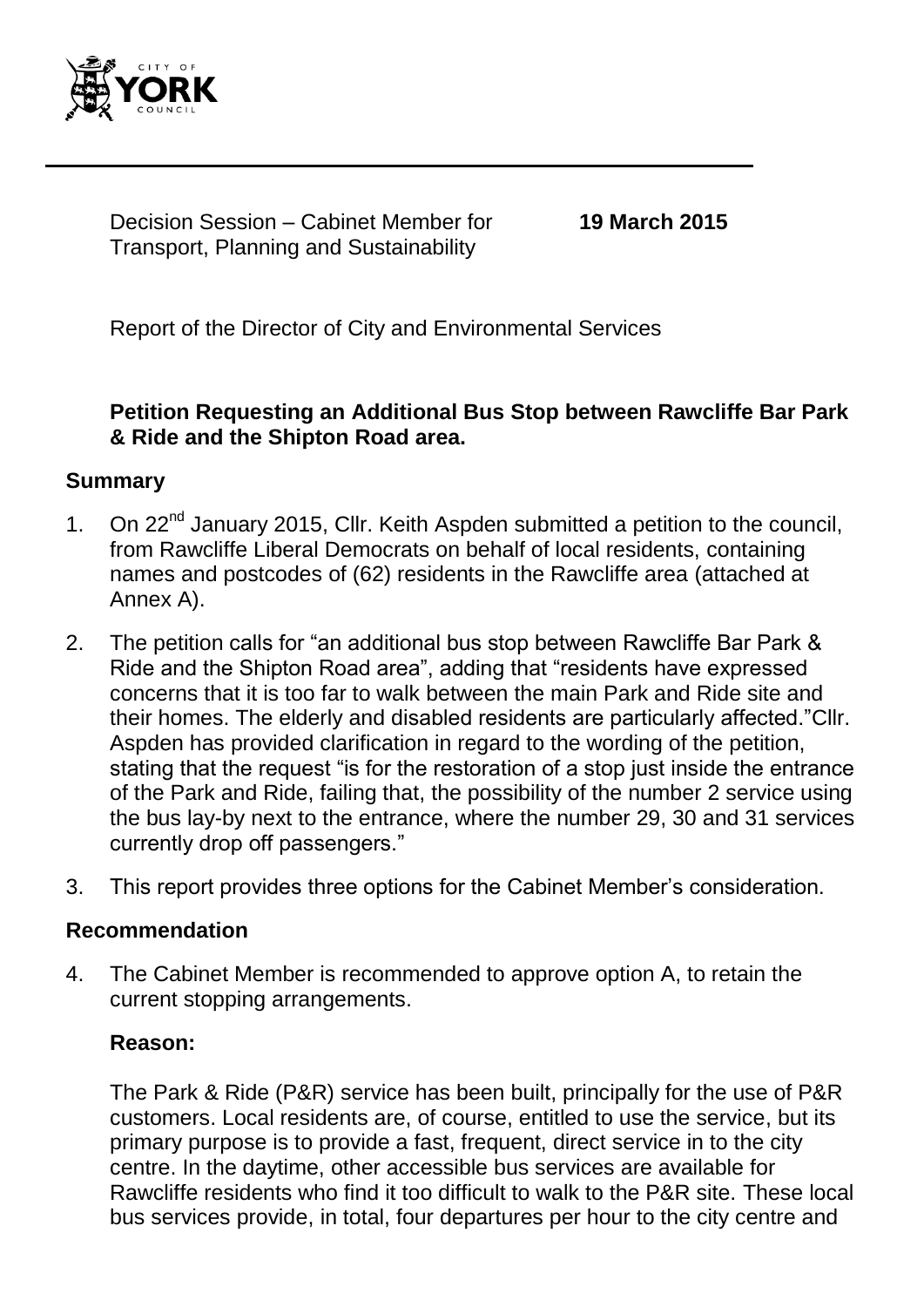

Decision Session – Cabinet Member for Transport, Planning and Sustainability

**19 March 2015**

Report of the Director of City and Environmental Services

## **Petition Requesting an Additional Bus Stop between Rawcliffe Bar Park & Ride and the Shipton Road area.**

## **Summary**

- 1. On 22<sup>nd</sup> January 2015, Cllr. Keith Aspden submitted a petition to the council, from Rawcliffe Liberal Democrats on behalf of local residents, containing names and postcodes of (62) residents in the Rawcliffe area (attached at Annex A).
- 2. The petition calls for "an additional bus stop between Rawcliffe Bar Park & Ride and the Shipton Road area", adding that "residents have expressed concerns that it is too far to walk between the main Park and Ride site and their homes. The elderly and disabled residents are particularly affected."Cllr. Aspden has provided clarification in regard to the wording of the petition, stating that the request "is for the restoration of a stop just inside the entrance of the Park and Ride, failing that, the possibility of the number 2 service using the bus lay-by next to the entrance, where the number 29, 30 and 31 services currently drop off passengers."
- 3. This report provides three options for the Cabinet Member's consideration.

#### **Recommendation**

4. The Cabinet Member is recommended to approve option A, to retain the current stopping arrangements.

## **Reason:**

The Park & Ride (P&R) service has been built, principally for the use of P&R customers. Local residents are, of course, entitled to use the service, but its primary purpose is to provide a fast, frequent, direct service in to the city centre. In the daytime, other accessible bus services are available for Rawcliffe residents who find it too difficult to walk to the P&R site. These local bus services provide, in total, four departures per hour to the city centre and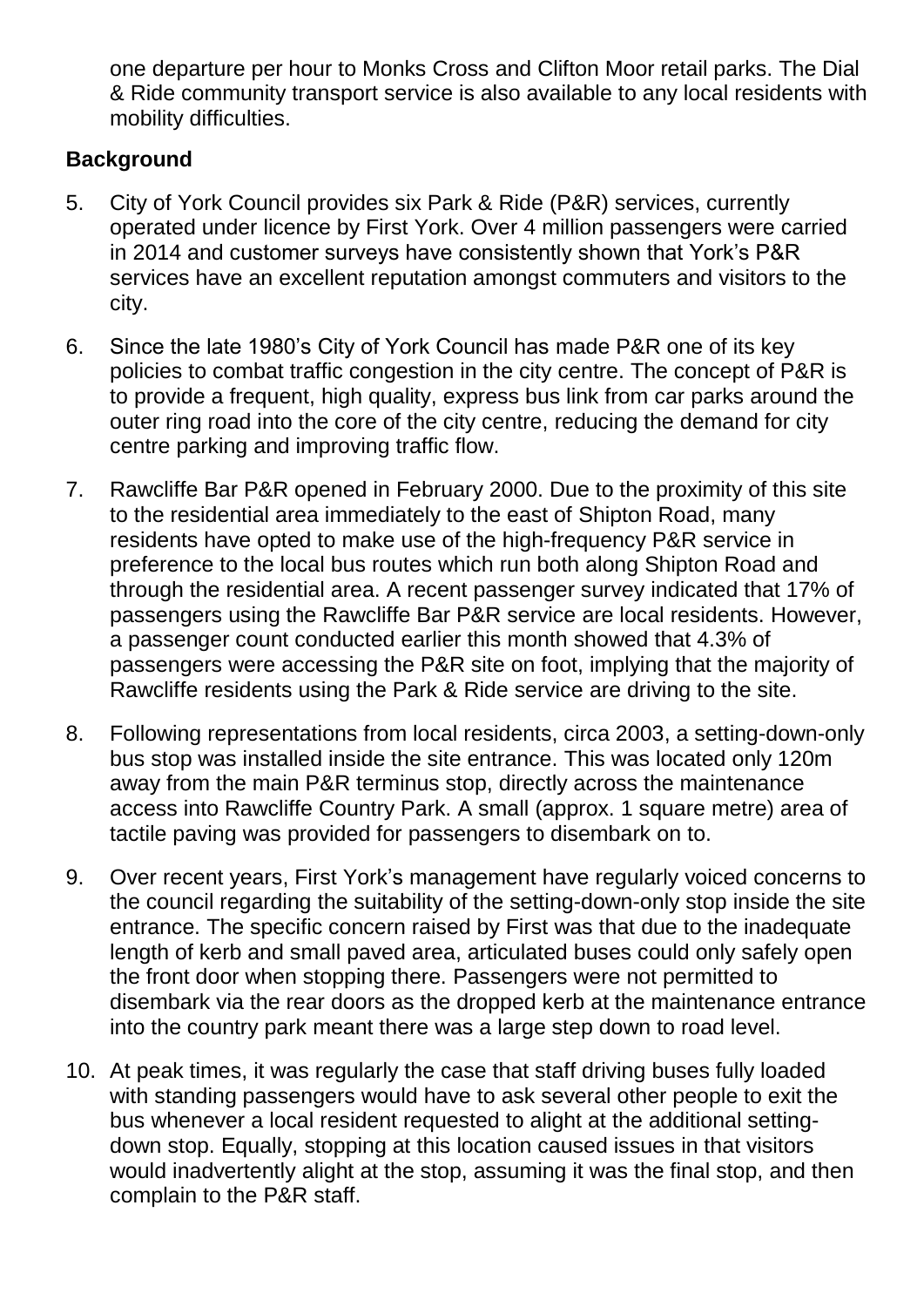one departure per hour to Monks Cross and Clifton Moor retail parks. The Dial & Ride community transport service is also available to any local residents with mobility difficulties.

## **Background**

- 5. City of York Council provides six Park & Ride (P&R) services, currently operated under licence by First York. Over 4 million passengers were carried in 2014 and customer surveys have consistently shown that York's P&R services have an excellent reputation amongst commuters and visitors to the city.
- 6. Since the late 1980's City of York Council has made P&R one of its key policies to combat traffic congestion in the city centre. The concept of P&R is to provide a frequent, high quality, express bus link from car parks around the outer ring road into the core of the city centre, reducing the demand for city centre parking and improving traffic flow.
- 7. Rawcliffe Bar P&R opened in February 2000. Due to the proximity of this site to the residential area immediately to the east of Shipton Road, many residents have opted to make use of the high-frequency P&R service in preference to the local bus routes which run both along Shipton Road and through the residential area. A recent passenger survey indicated that 17% of passengers using the Rawcliffe Bar P&R service are local residents. However, a passenger count conducted earlier this month showed that 4.3% of passengers were accessing the P&R site on foot, implying that the majority of Rawcliffe residents using the Park & Ride service are driving to the site.
- 8. Following representations from local residents, circa 2003, a setting-down-only bus stop was installed inside the site entrance. This was located only 120m away from the main P&R terminus stop, directly across the maintenance access into Rawcliffe Country Park. A small (approx. 1 square metre) area of tactile paving was provided for passengers to disembark on to.
- 9. Over recent years, First York's management have regularly voiced concerns to the council regarding the suitability of the setting-down-only stop inside the site entrance. The specific concern raised by First was that due to the inadequate length of kerb and small paved area, articulated buses could only safely open the front door when stopping there. Passengers were not permitted to disembark via the rear doors as the dropped kerb at the maintenance entrance into the country park meant there was a large step down to road level.
- 10. At peak times, it was regularly the case that staff driving buses fully loaded with standing passengers would have to ask several other people to exit the bus whenever a local resident requested to alight at the additional settingdown stop. Equally, stopping at this location caused issues in that visitors would inadvertently alight at the stop, assuming it was the final stop, and then complain to the P&R staff.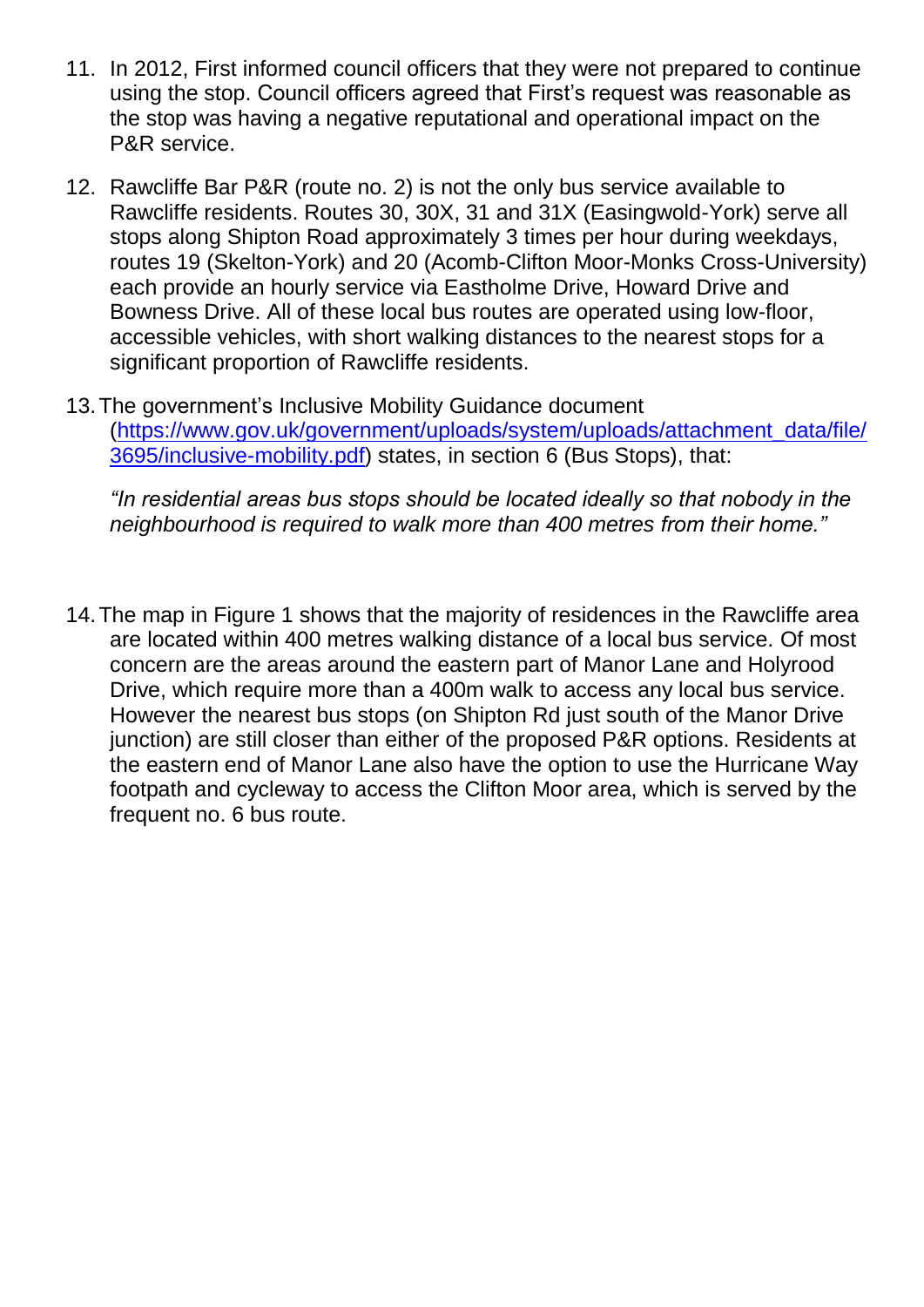- 11. In 2012, First informed council officers that they were not prepared to continue using the stop. Council officers agreed that First's request was reasonable as the stop was having a negative reputational and operational impact on the P&R service.
- 12. Rawcliffe Bar P&R (route no. 2) is not the only bus service available to Rawcliffe residents. Routes 30, 30X, 31 and 31X (Easingwold-York) serve all stops along Shipton Road approximately 3 times per hour during weekdays, routes 19 (Skelton-York) and 20 (Acomb-Clifton Moor-Monks Cross-University) each provide an hourly service via Eastholme Drive, Howard Drive and Bowness Drive. All of these local bus routes are operated using low-floor, accessible vehicles, with short walking distances to the nearest stops for a significant proportion of Rawcliffe residents.
- 13.The government's Inclusive Mobility Guidance document [\(https://www.gov.uk/government/uploads/system/uploads/attachment\\_data/file/](https://www.gov.uk/government/uploads/system/uploads/attachment_data/file/3695/inclusive-mobility.pdf) [3695/inclusive-mobility.pdf\)](https://www.gov.uk/government/uploads/system/uploads/attachment_data/file/3695/inclusive-mobility.pdf) states, in section 6 (Bus Stops), that:

*"In residential areas bus stops should be located ideally so that nobody in the neighbourhood is required to walk more than 400 metres from their home."*

14.The map in Figure 1 shows that the majority of residences in the Rawcliffe area are located within 400 metres walking distance of a local bus service. Of most concern are the areas around the eastern part of Manor Lane and Holyrood Drive, which require more than a 400m walk to access any local bus service. However the nearest bus stops (on Shipton Rd just south of the Manor Drive junction) are still closer than either of the proposed P&R options. Residents at the eastern end of Manor Lane also have the option to use the Hurricane Way footpath and cycleway to access the Clifton Moor area, which is served by the frequent no. 6 bus route.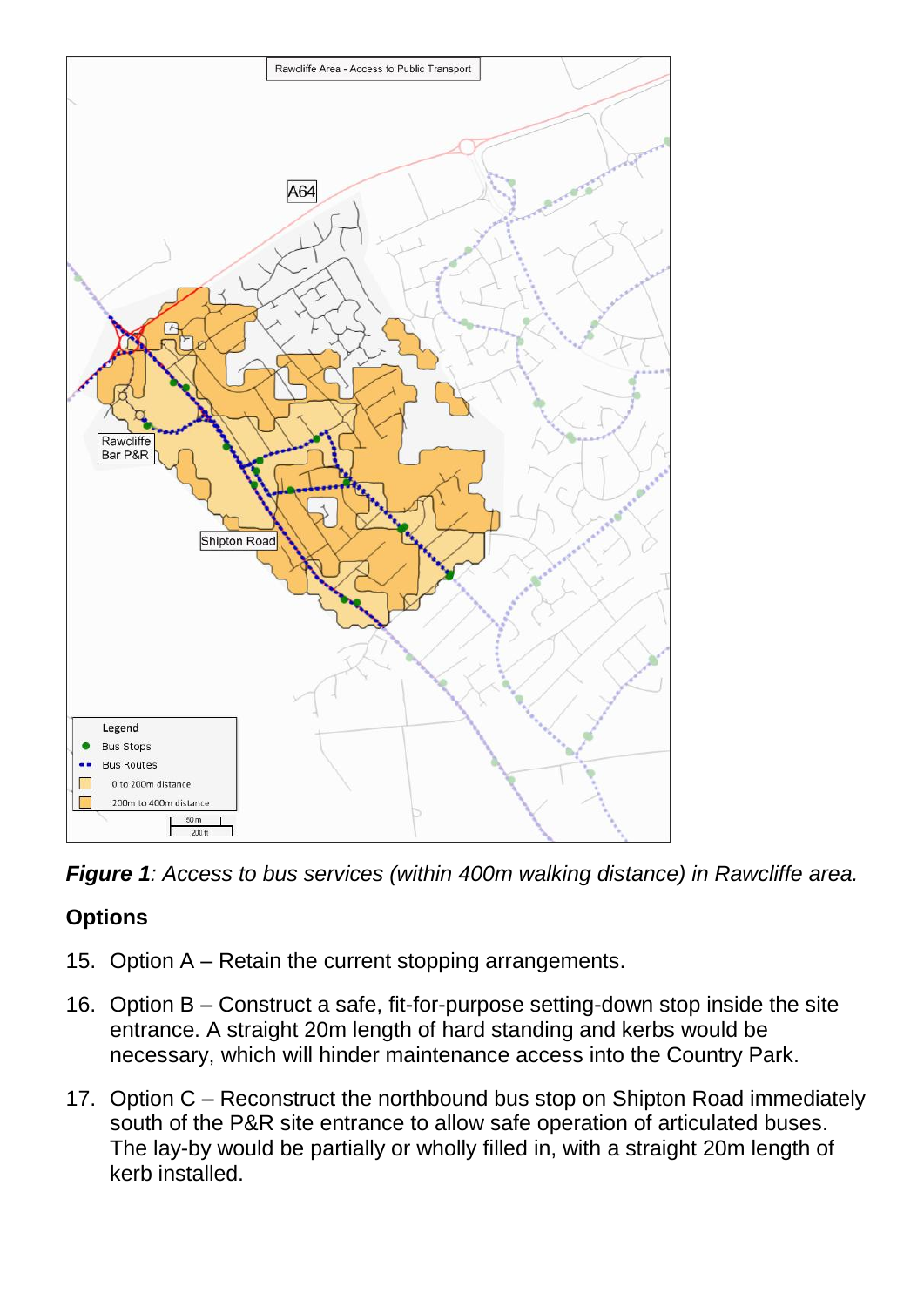

*Figure 1: Access to bus services (within 400m walking distance) in Rawcliffe area.*

# **Options**

- 15. Option A Retain the current stopping arrangements.
- 16. Option B Construct a safe, fit-for-purpose setting-down stop inside the site entrance. A straight 20m length of hard standing and kerbs would be necessary, which will hinder maintenance access into the Country Park.
- 17. Option C Reconstruct the northbound bus stop on Shipton Road immediately south of the P&R site entrance to allow safe operation of articulated buses. The lay-by would be partially or wholly filled in, with a straight 20m length of kerb installed.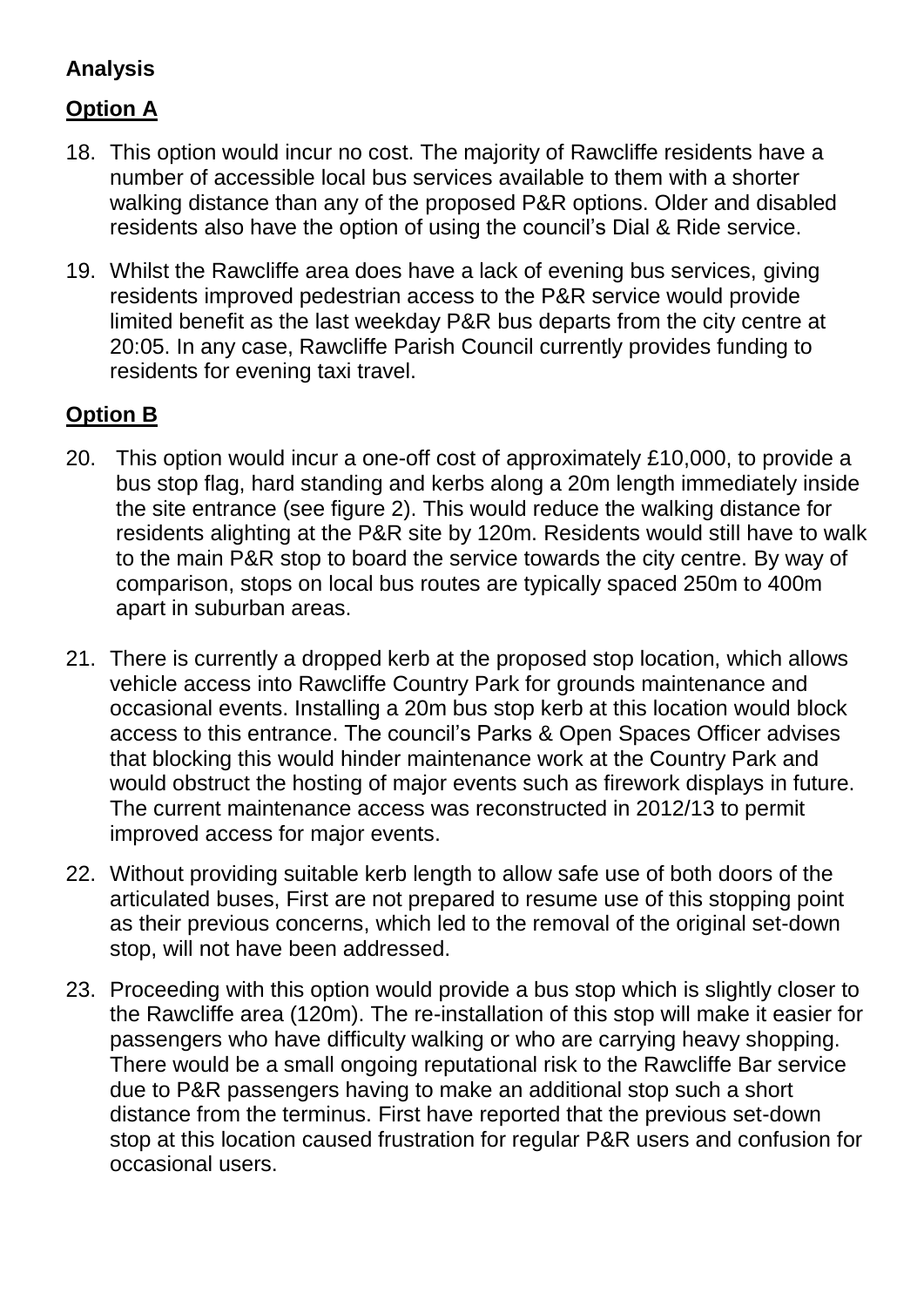## **Analysis**

# **Option A**

- 18. This option would incur no cost. The majority of Rawcliffe residents have a number of accessible local bus services available to them with a shorter walking distance than any of the proposed P&R options. Older and disabled residents also have the option of using the council's Dial & Ride service.
- 19. Whilst the Rawcliffe area does have a lack of evening bus services, giving residents improved pedestrian access to the P&R service would provide limited benefit as the last weekday P&R bus departs from the city centre at 20:05. In any case, Rawcliffe Parish Council currently provides funding to residents for evening taxi travel.

# **Option B**

- 20. This option would incur a one-off cost of approximately £10,000, to provide a bus stop flag, hard standing and kerbs along a 20m length immediately inside the site entrance (see figure 2). This would reduce the walking distance for residents alighting at the P&R site by 120m. Residents would still have to walk to the main P&R stop to board the service towards the city centre. By way of comparison, stops on local bus routes are typically spaced 250m to 400m apart in suburban areas.
- 21. There is currently a dropped kerb at the proposed stop location, which allows vehicle access into Rawcliffe Country Park for grounds maintenance and occasional events. Installing a 20m bus stop kerb at this location would block access to this entrance. The council's Parks & Open Spaces Officer advises that blocking this would hinder maintenance work at the Country Park and would obstruct the hosting of major events such as firework displays in future. The current maintenance access was reconstructed in 2012/13 to permit improved access for major events.
- 22. Without providing suitable kerb length to allow safe use of both doors of the articulated buses, First are not prepared to resume use of this stopping point as their previous concerns, which led to the removal of the original set-down stop, will not have been addressed.
- 23. Proceeding with this option would provide a bus stop which is slightly closer to the Rawcliffe area (120m). The re-installation of this stop will make it easier for passengers who have difficulty walking or who are carrying heavy shopping. There would be a small ongoing reputational risk to the Rawcliffe Bar service due to P&R passengers having to make an additional stop such a short distance from the terminus. First have reported that the previous set-down stop at this location caused frustration for regular P&R users and confusion for occasional users.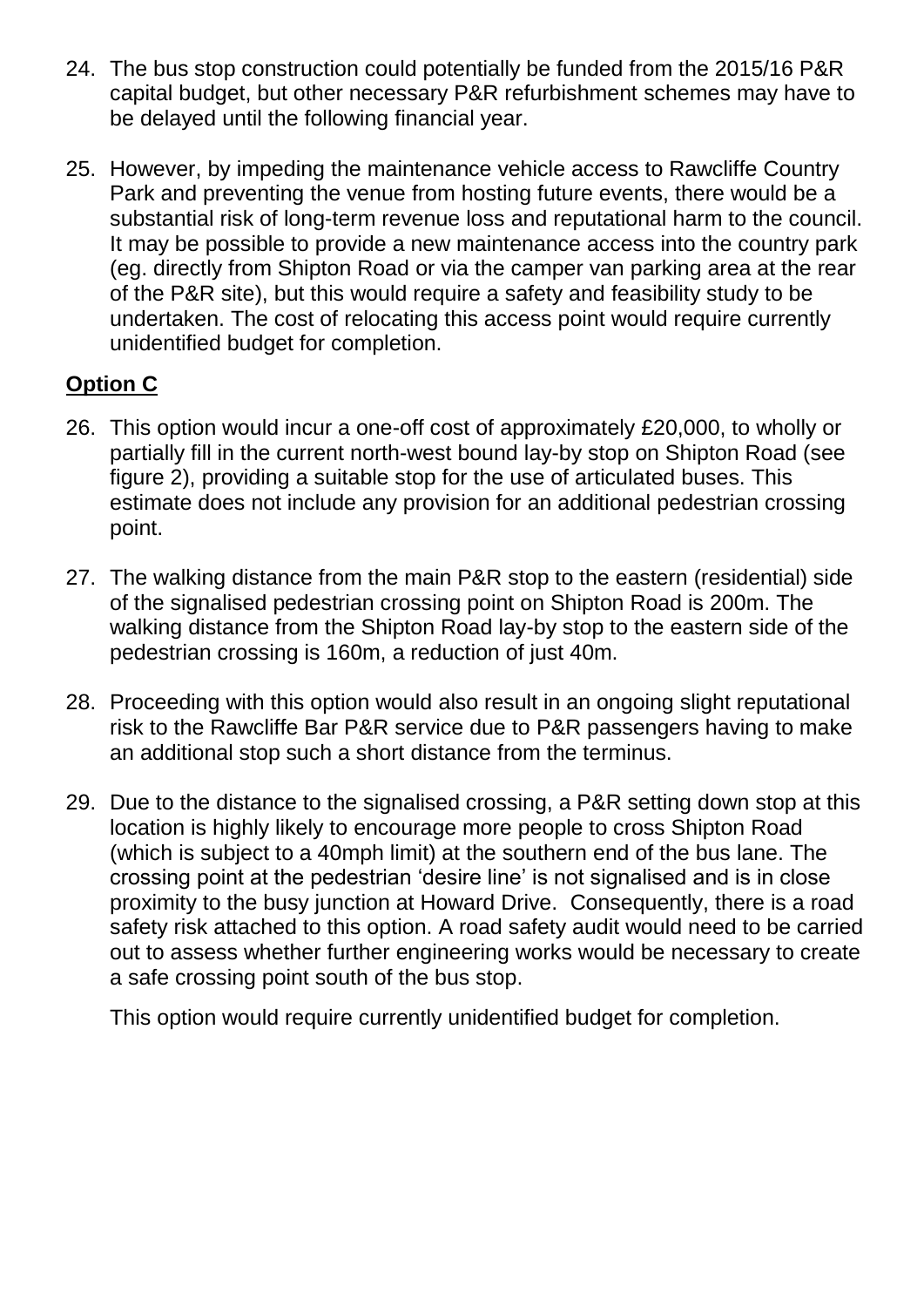- 24. The bus stop construction could potentially be funded from the 2015/16 P&R capital budget, but other necessary P&R refurbishment schemes may have to be delayed until the following financial year.
- 25. However, by impeding the maintenance vehicle access to Rawcliffe Country Park and preventing the venue from hosting future events, there would be a substantial risk of long-term revenue loss and reputational harm to the council. It may be possible to provide a new maintenance access into the country park (eg. directly from Shipton Road or via the camper van parking area at the rear of the P&R site), but this would require a safety and feasibility study to be undertaken. The cost of relocating this access point would require currently unidentified budget for completion.

## **Option C**

- 26. This option would incur a one-off cost of approximately £20,000, to wholly or partially fill in the current north-west bound lay-by stop on Shipton Road (see figure 2), providing a suitable stop for the use of articulated buses. This estimate does not include any provision for an additional pedestrian crossing point.
- 27. The walking distance from the main P&R stop to the eastern (residential) side of the signalised pedestrian crossing point on Shipton Road is 200m. The walking distance from the Shipton Road lay-by stop to the eastern side of the pedestrian crossing is 160m, a reduction of just 40m.
- 28. Proceeding with this option would also result in an ongoing slight reputational risk to the Rawcliffe Bar P&R service due to P&R passengers having to make an additional stop such a short distance from the terminus.
- 29. Due to the distance to the signalised crossing, a P&R setting down stop at this location is highly likely to encourage more people to cross Shipton Road (which is subject to a 40mph limit) at the southern end of the bus lane. The crossing point at the pedestrian 'desire line' is not signalised and is in close proximity to the busy junction at Howard Drive. Consequently, there is a road safety risk attached to this option. A road safety audit would need to be carried out to assess whether further engineering works would be necessary to create a safe crossing point south of the bus stop.

This option would require currently unidentified budget for completion.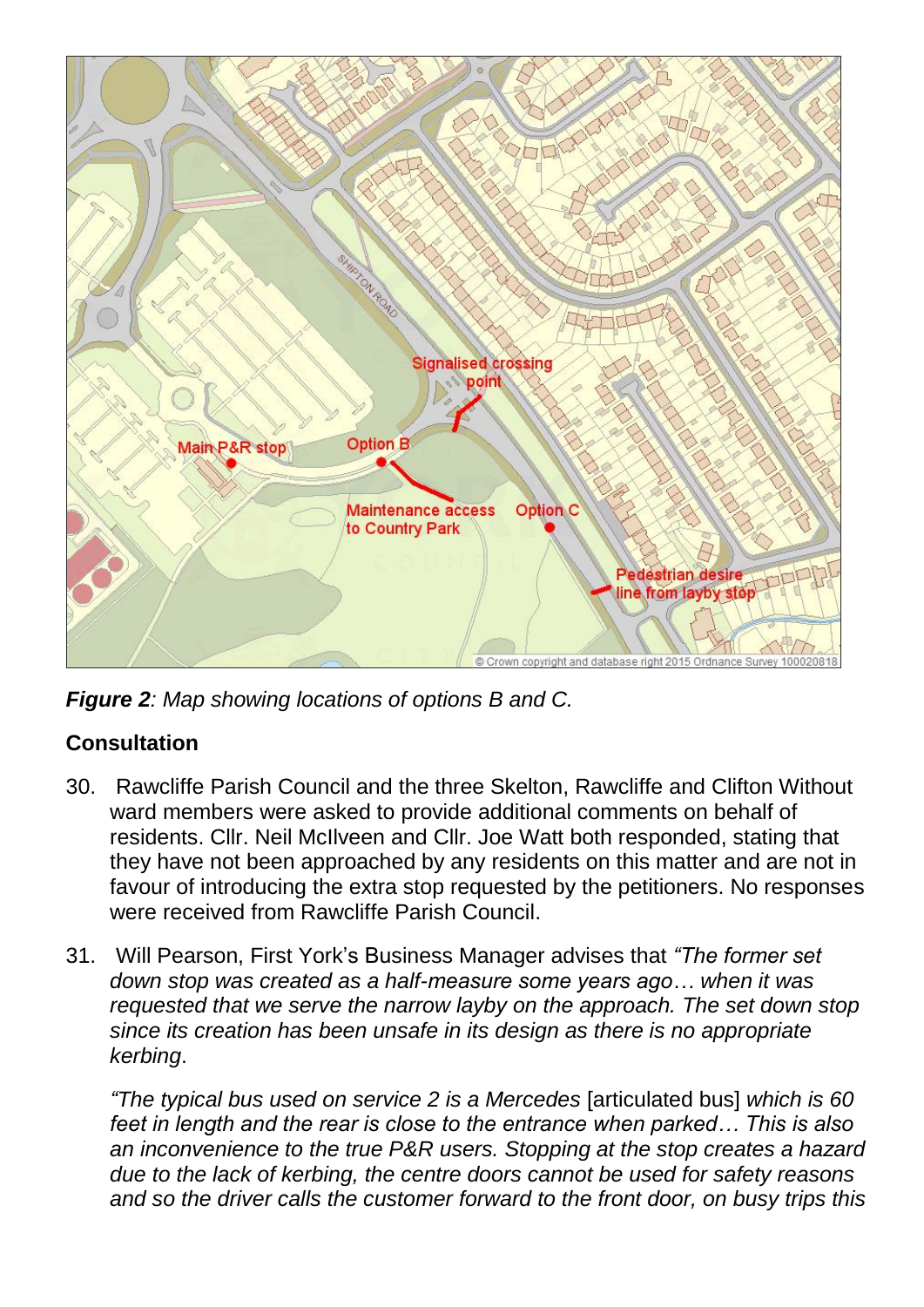

*Figure 2: Map showing locations of options B and C.*

# **Consultation**

- 30. Rawcliffe Parish Council and the three Skelton, Rawcliffe and Clifton Without ward members were asked to provide additional comments on behalf of residents. Cllr. Neil McIlveen and Cllr. Joe Watt both responded, stating that they have not been approached by any residents on this matter and are not in favour of introducing the extra stop requested by the petitioners. No responses were received from Rawcliffe Parish Council.
- 31. Will Pearson, First York's Business Manager advises that *"The former set down stop was created as a half-measure some years ago… when it was requested that we serve the narrow layby on the approach. The set down stop since its creation has been unsafe in its design as there is no appropriate kerbing*.

*"The typical bus used on service 2 is a Mercedes* [articulated bus] *which is 60 feet in length and the rear is close to the entrance when parked… This is also an inconvenience to the true P&R users. Stopping at the stop creates a hazard due to the lack of kerbing, the centre doors cannot be used for safety reasons and so the driver calls the customer forward to the front door, on busy trips this*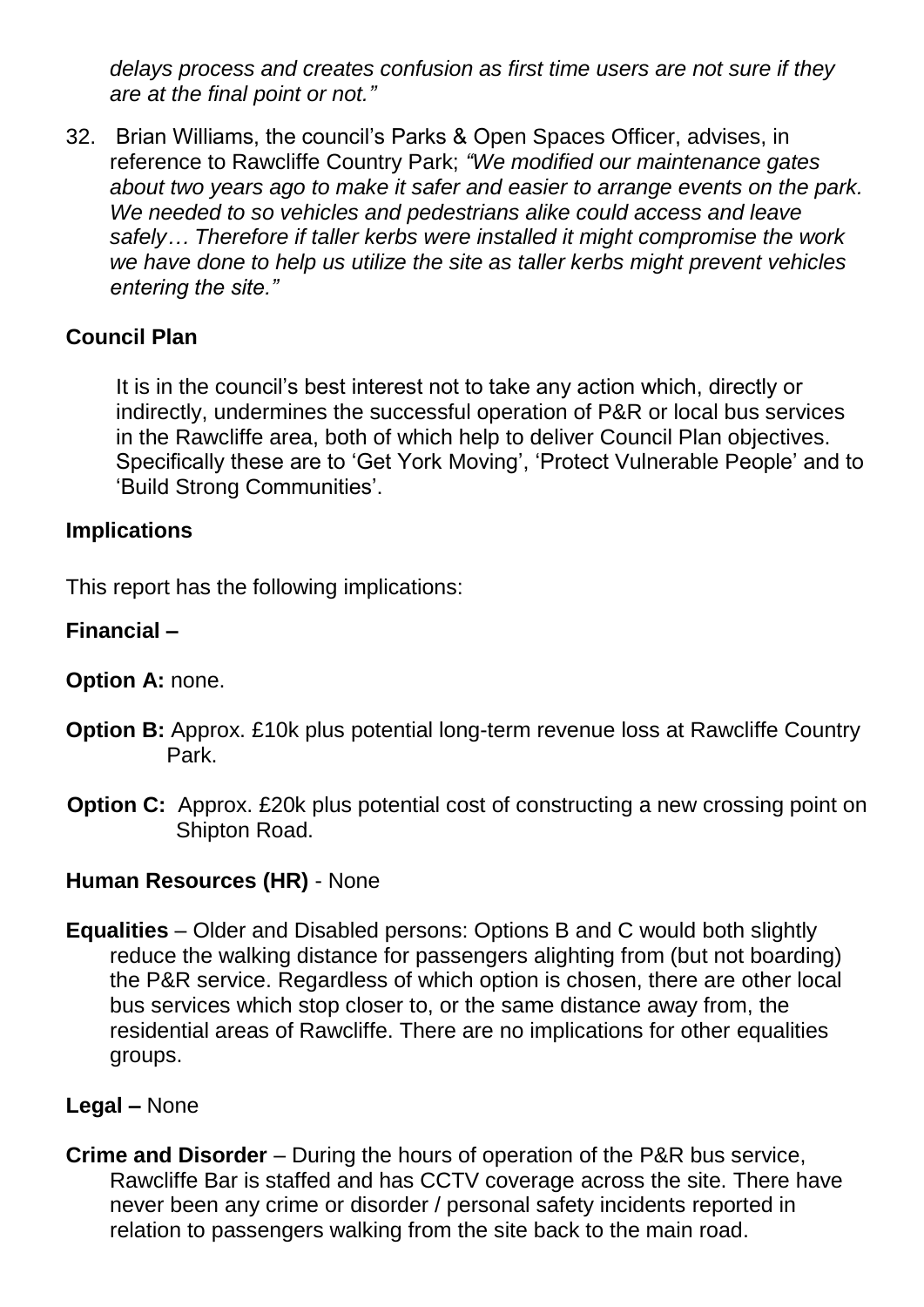*delays process and creates confusion as first time users are not sure if they are at the final point or not."*

32. Brian Williams, the council's Parks & Open Spaces Officer, advises, in reference to Rawcliffe Country Park; *"We modified our maintenance gates about two years ago to make it safer and easier to arrange events on the park. We needed to so vehicles and pedestrians alike could access and leave safely… Therefore if taller kerbs were installed it might compromise the work we have done to help us utilize the site as taller kerbs might prevent vehicles entering the site."*

## **Council Plan**

It is in the council's best interest not to take any action which, directly or indirectly, undermines the successful operation of P&R or local bus services in the Rawcliffe area, both of which help to deliver Council Plan objectives. Specifically these are to 'Get York Moving', 'Protect Vulnerable People' and to 'Build Strong Communities'.

#### **Implications**

This report has the following implications:

#### **Financial –**

## **Option A:** none.

- **Option B:** Approx. £10k plus potential long-term revenue loss at Rawcliffe Country Park.
- **Option C:** Approx. £20k plus potential cost of constructing a new crossing point on Shipton Road.

## **Human Resources (HR)** - None

**Equalities** – Older and Disabled persons: Options B and C would both slightly reduce the walking distance for passengers alighting from (but not boarding) the P&R service. Regardless of which option is chosen, there are other local bus services which stop closer to, or the same distance away from, the residential areas of Rawcliffe. There are no implications for other equalities groups.

## **Legal –** None

**Crime and Disorder** – During the hours of operation of the P&R bus service, Rawcliffe Bar is staffed and has CCTV coverage across the site. There have never been any crime or disorder / personal safety incidents reported in relation to passengers walking from the site back to the main road.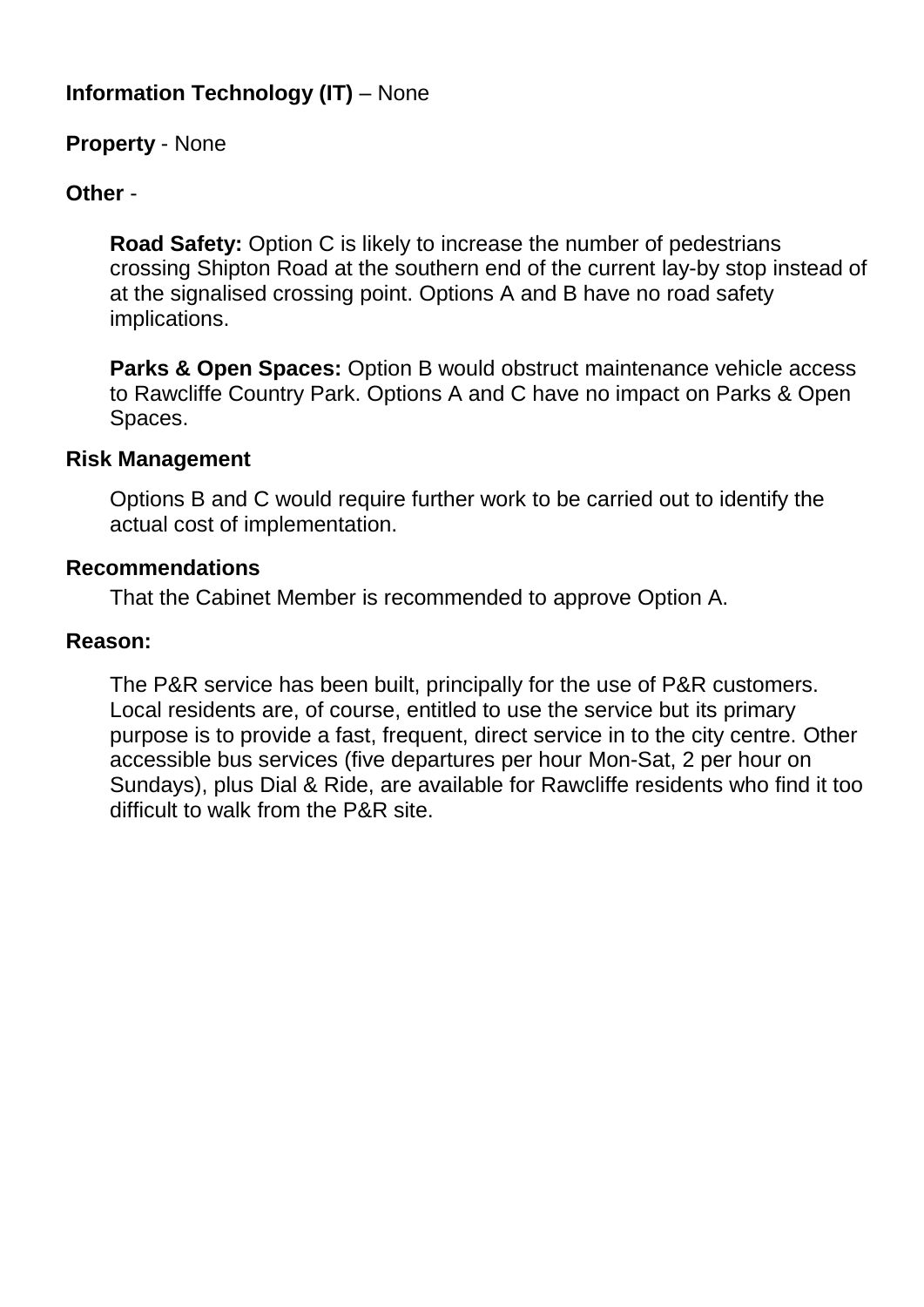## **Information Technology (IT)** – None

#### **Property** - None

#### **Other** -

**Road Safety:** Option C is likely to increase the number of pedestrians crossing Shipton Road at the southern end of the current lay-by stop instead of at the signalised crossing point. Options A and B have no road safety implications.

**Parks & Open Spaces:** Option B would obstruct maintenance vehicle access to Rawcliffe Country Park. Options A and C have no impact on Parks & Open Spaces.

#### **Risk Management**

Options B and C would require further work to be carried out to identify the actual cost of implementation.

#### **Recommendations**

That the Cabinet Member is recommended to approve Option A.

#### **Reason:**

The P&R service has been built, principally for the use of P&R customers. Local residents are, of course, entitled to use the service but its primary purpose is to provide a fast, frequent, direct service in to the city centre. Other accessible bus services (five departures per hour Mon-Sat, 2 per hour on Sundays), plus Dial & Ride, are available for Rawcliffe residents who find it too difficult to walk from the P&R site.